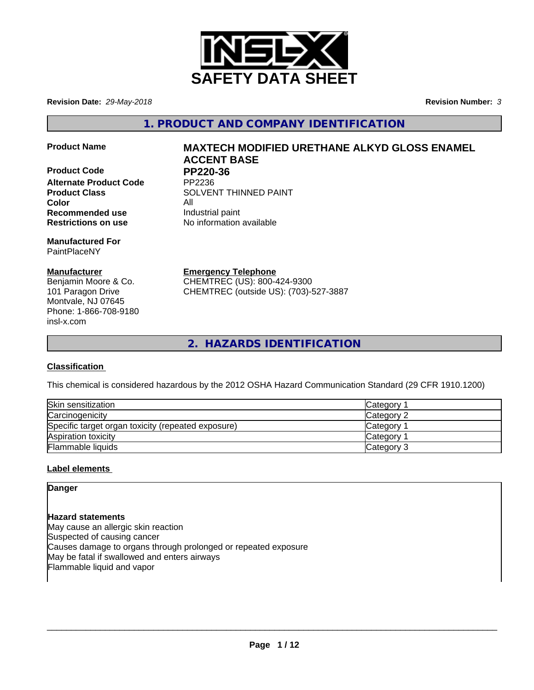

**Revision Date:** *29-May-2018* **Revision Number:** *3*

**1. PRODUCT AND COMPANY IDENTIFICATION**

**Product Code PP220-36**<br>Alternate Product Code PP2236 **Alternate Product Code Color** All **Recommended use Industrial paint** 

**Manufactured For** PaintPlaceNY

## **Manufacturer**

Benjamin Moore & Co. 101 Paragon Drive Montvale, NJ 07645 Phone: 1-866-708-9180 insl-x.com

# **Product Name MAXTECH MODIFIED URETHANE ALKYD GLOSS ENAMEL ACCENT BASE**

**Product Class SOLVENT THINNED PAINT Restrictions on use** No information available

**Emergency Telephone**

CHEMTREC (US): 800-424-9300 CHEMTREC (outside US): (703)-527-3887

**2. HAZARDS IDENTIFICATION**

## **Classification**

This chemical is considered hazardous by the 2012 OSHA Hazard Communication Standard (29 CFR 1910.1200)

| Skin sensitization                                 | Category        |
|----------------------------------------------------|-----------------|
| Carcinogenicity                                    | Category 2      |
| Specific target organ toxicity (repeated exposure) | <b>Category</b> |
| Aspiration toxicity                                | <b>Category</b> |
| Flammable liquids                                  | Category 3      |

## **Label elements**

**Danger**

**Hazard statements** May cause an allergic skin reaction Suspected of causing cancer Causes damage to organs through prolonged or repeated exposure May be fatal if swallowed and enters airways Flammable liquid and vapor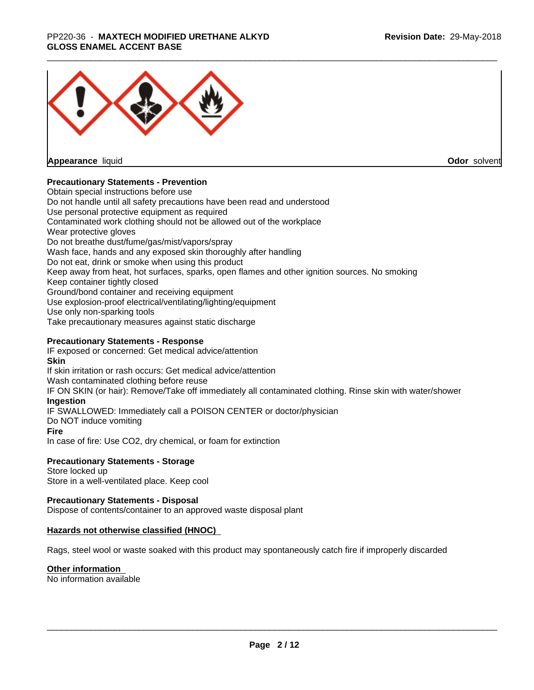### \_\_\_\_\_\_\_\_\_\_\_\_\_\_\_\_\_\_\_\_\_\_\_\_\_\_\_\_\_\_\_\_\_\_\_\_\_\_\_\_\_\_\_\_\_\_\_\_\_\_\_\_\_\_\_\_\_\_\_\_\_\_\_\_\_\_\_\_\_\_\_\_\_\_\_\_\_\_\_\_\_\_\_\_\_\_\_\_\_\_\_\_\_ PP220-36 - **MAXTECH MODIFIED URETHANE ALKYD GLOSS ENAMEL ACCENT BASE**



**Appearance** liquid

**Odor** solvent

## **Precautionary Statements - Prevention**

Obtain special instructions before use Do not handle until all safety precautions have been read and understood Use personal protective equipment as required Contaminated work clothing should not be allowed out of the workplace Wear protective gloves Do not breathe dust/fume/gas/mist/vapors/spray Wash face, hands and any exposed skin thoroughly after handling Do not eat, drink or smoke when using this product Keep away from heat, hot surfaces, sparks, open flames and other ignition sources. No smoking Keep container tightly closed Ground/bond container and receiving equipment Use explosion-proof electrical/ventilating/lighting/equipment Use only non-sparking tools Take precautionary measures against static discharge

## **Precautionary Statements - Response**

IF exposed or concerned: Get medical advice/attention **Skin** If skin irritation or rash occurs: Get medical advice/attention Wash contaminated clothing before reuse IF ON SKIN (or hair): Remove/Take off immediately all contaminated clothing. Rinse skin with water/shower **Ingestion** IF SWALLOWED: Immediately call a POISON CENTER or doctor/physician Do NOT induce vomiting **Fire** In case of fire: Use CO2, dry chemical, or foam for extinction

## **Precautionary Statements - Storage**

Store locked up Store in a well-ventilated place. Keep cool

#### **Precautionary Statements - Disposal**

Dispose of contents/container to an approved waste disposal plant

#### **Hazards not otherwise classified (HNOC)**

Rags, steel wool or waste soaked with this product may spontaneously catch fire if improperly discarded

#### **Other information**

No information available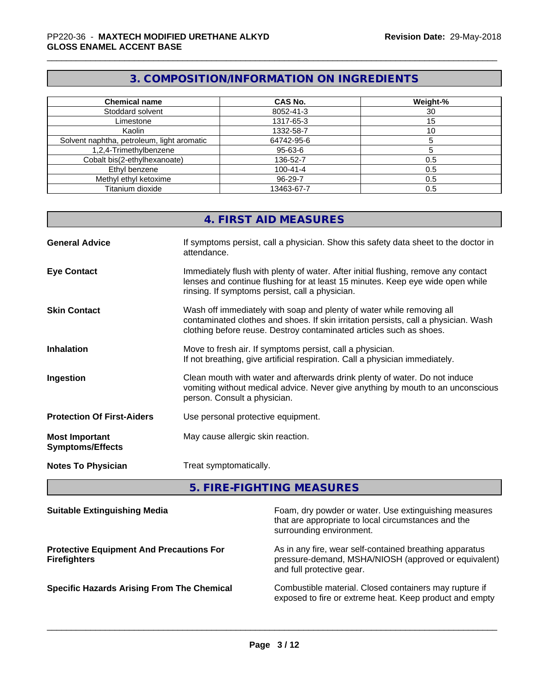# **3. COMPOSITION/INFORMATION ON INGREDIENTS**

| <b>Chemical name</b>                       | CAS No.        | Weight-% |
|--------------------------------------------|----------------|----------|
| Stoddard solvent                           | 8052-41-3      | 30       |
| Limestone                                  | 1317-65-3      | 15       |
| Kaolin                                     | 1332-58-7      | 10       |
| Solvent naphtha, petroleum, light aromatic | 64742-95-6     |          |
| 1,2,4-Trimethylbenzene                     | $95 - 63 - 6$  |          |
| Cobalt bis(2-ethylhexanoate)               | 136-52-7       | 0.5      |
| Ethyl benzene                              | $100 - 41 - 4$ | 0.5      |
| Methyl ethyl ketoxime                      | 96-29-7        | 0.5      |
| Titanium dioxide                           | 13463-67-7     | 0.5      |

|                                                  | 4. FIRST AID MEASURES                                                                                                                                                                                                               |
|--------------------------------------------------|-------------------------------------------------------------------------------------------------------------------------------------------------------------------------------------------------------------------------------------|
| <b>General Advice</b>                            | If symptoms persist, call a physician. Show this safety data sheet to the doctor in<br>attendance.                                                                                                                                  |
| <b>Eye Contact</b>                               | Immediately flush with plenty of water. After initial flushing, remove any contact<br>lenses and continue flushing for at least 15 minutes. Keep eye wide open while<br>rinsing. If symptoms persist, call a physician.             |
| <b>Skin Contact</b>                              | Wash off immediately with soap and plenty of water while removing all<br>contaminated clothes and shoes. If skin irritation persists, call a physician. Wash<br>clothing before reuse. Destroy contaminated articles such as shoes. |
| <b>Inhalation</b>                                | Move to fresh air. If symptoms persist, call a physician.<br>If not breathing, give artificial respiration. Call a physician immediately.                                                                                           |
| Ingestion                                        | Clean mouth with water and afterwards drink plenty of water. Do not induce<br>vomiting without medical advice. Never give anything by mouth to an unconscious<br>person. Consult a physician.                                       |
| <b>Protection Of First-Aiders</b>                | Use personal protective equipment.                                                                                                                                                                                                  |
| <b>Most Important</b><br><b>Symptoms/Effects</b> | May cause allergic skin reaction.                                                                                                                                                                                                   |
| <b>Notes To Physician</b>                        | Treat symptomatically.                                                                                                                                                                                                              |
|                                                  |                                                                                                                                                                                                                                     |

# **5. FIRE-FIGHTING MEASURES**

| <b>Suitable Extinguishing Media</b>                                    | Foam, dry powder or water. Use extinguishing measures<br>that are appropriate to local circumstances and the<br>surrounding environment.     |
|------------------------------------------------------------------------|----------------------------------------------------------------------------------------------------------------------------------------------|
| <b>Protective Equipment And Precautions For</b><br><b>Firefighters</b> | As in any fire, wear self-contained breathing apparatus<br>pressure-demand, MSHA/NIOSH (approved or equivalent)<br>and full protective gear. |
| <b>Specific Hazards Arising From The Chemical</b>                      | Combustible material. Closed containers may rupture if<br>exposed to fire or extreme heat. Keep product and empty                            |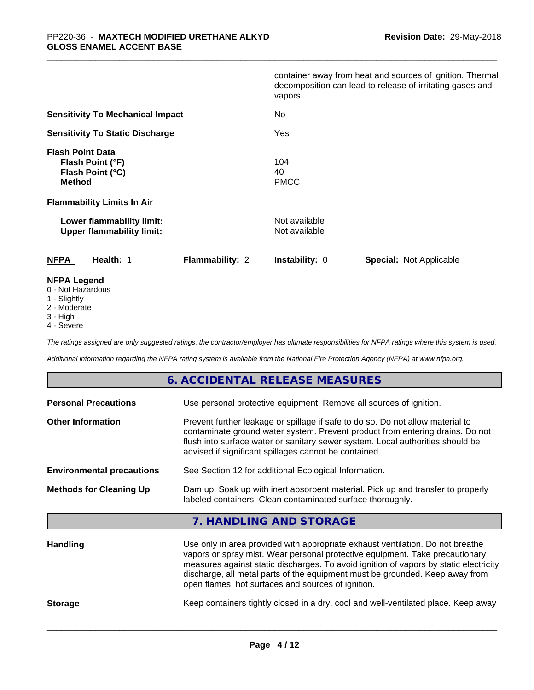|                                                                                  | container away from heat and sources of ignition. Thermal<br>decomposition can lead to release of irritating gases and<br>vapors. |
|----------------------------------------------------------------------------------|-----------------------------------------------------------------------------------------------------------------------------------|
| <b>Sensitivity To Mechanical Impact</b>                                          | No                                                                                                                                |
| <b>Sensitivity To Static Discharge</b>                                           | Yes                                                                                                                               |
| <b>Flash Point Data</b><br>Flash Point (°F)<br>Flash Point (°C)<br><b>Method</b> | 104<br>40<br><b>PMCC</b>                                                                                                          |
| <b>Flammability Limits In Air</b>                                                |                                                                                                                                   |
| Lower flammability limit:<br><b>Upper flammability limit:</b>                    | Not available<br>Not available                                                                                                    |
| <b>NFPA</b><br>Health: 1<br><b>Flammability: 2</b>                               | <b>Instability: 0</b><br><b>Special: Not Applicable</b>                                                                           |
| <b>NFPA Legend</b><br>0 - Not Hazardous                                          |                                                                                                                                   |

- 1 Slightly
- 2 Moderate
- 3 High
- 4 Severe

*The ratings assigned are only suggested ratings, the contractor/employer has ultimate responsibilities for NFPA ratings where this system is used.*

*Additional information regarding the NFPA rating system is available from the National Fire Protection Agency (NFPA) at www.nfpa.org.*

## **6. ACCIDENTAL RELEASE MEASURES**

| <b>Personal Precautions</b>      | Use personal protective equipment. Remove all sources of ignition.                                                                                                                                                                                                                                                                                                                            |  |  |
|----------------------------------|-----------------------------------------------------------------------------------------------------------------------------------------------------------------------------------------------------------------------------------------------------------------------------------------------------------------------------------------------------------------------------------------------|--|--|
| <b>Other Information</b>         | Prevent further leakage or spillage if safe to do so. Do not allow material to<br>contaminate ground water system. Prevent product from entering drains. Do not<br>flush into surface water or sanitary sewer system. Local authorities should be<br>advised if significant spillages cannot be contained.                                                                                    |  |  |
| <b>Environmental precautions</b> | See Section 12 for additional Ecological Information.                                                                                                                                                                                                                                                                                                                                         |  |  |
| <b>Methods for Cleaning Up</b>   | Dam up. Soak up with inert absorbent material. Pick up and transfer to properly<br>labeled containers. Clean contaminated surface thoroughly.                                                                                                                                                                                                                                                 |  |  |
|                                  | 7. HANDLING AND STORAGE                                                                                                                                                                                                                                                                                                                                                                       |  |  |
| <b>Handling</b>                  | Use only in area provided with appropriate exhaust ventilation. Do not breathe<br>vapors or spray mist. Wear personal protective equipment. Take precautionary<br>measures against static discharges. To avoid ignition of vapors by static electricity<br>discharge, all metal parts of the equipment must be grounded. Keep away from<br>open flames, hot surfaces and sources of ignition. |  |  |

**Storage** Keep containers tightly closed in a dry, cool and well-ventilated place. Keep away

**Page 4 / 12**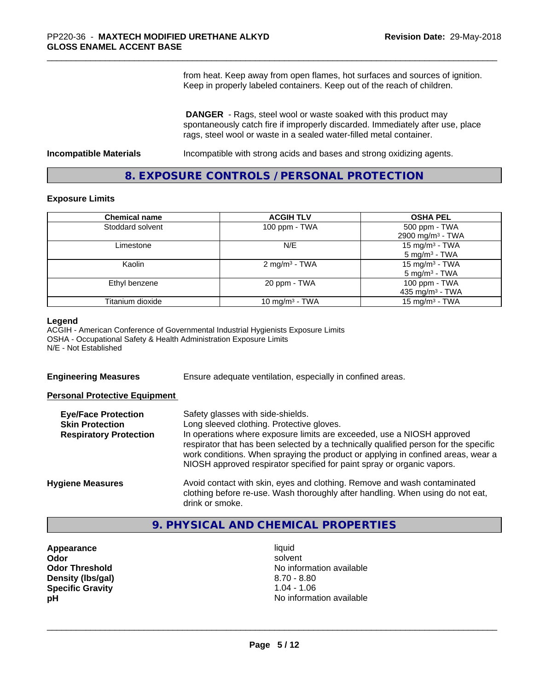from heat. Keep away from open flames, hot surfaces and sources of ignition. Keep in properly labeled containers. Keep out of the reach of children.

 **DANGER** - Rags, steel wool or waste soaked with this product may spontaneously catch fire if improperly discarded. Immediately after use, place rags, steel wool or waste in a sealed water-filled metal container.

**Incompatible Materials Incompatible with strong acids and bases and strong oxidizing agents.** 

## **8. EXPOSURE CONTROLS / PERSONAL PROTECTION**

#### **Exposure Limits**

| <b>Chemical name</b> | <b>ACGIH TLV</b>          | <b>OSHA PEL</b>              |
|----------------------|---------------------------|------------------------------|
| Stoddard solvent     | 100 ppm $-$ TWA           | 500 ppm - TWA                |
|                      |                           | 2900 mg/m <sup>3</sup> - TWA |
| Limestone            | N/E                       | 15 mg/m $3$ - TWA            |
|                      |                           | $5 \text{ mg/m}^3$ - TWA     |
| Kaolin               | 2 mg/m <sup>3</sup> - TWA | 15 mg/m $3$ - TWA            |
|                      |                           | $5 \text{ mg/m}^3$ - TWA     |
| Ethyl benzene        | 20 ppm - TWA              | 100 ppm - TWA                |
|                      |                           | 435 mg/m $3$ - TWA           |
| Titanium dioxide     | 10 mg/m $3$ - TWA         | 15 mg/m <sup>3</sup> - TWA   |

#### **Legend**

ACGIH - American Conference of Governmental Industrial Hygienists Exposure Limits OSHA - Occupational Safety & Health Administration Exposure Limits N/E - Not Established

**Engineering Measures** Ensure adequate ventilation, especially in confined areas.

#### **Personal Protective Equipment**

| <b>Eye/Face Protection</b><br><b>Skin Protection</b><br><b>Respiratory Protection</b> | Safety glasses with side-shields.<br>Long sleeved clothing. Protective gloves.<br>In operations where exposure limits are exceeded, use a NIOSH approved<br>respirator that has been selected by a technically qualified person for the specific<br>work conditions. When spraying the product or applying in confined areas, wear a<br>NIOSH approved respirator specified for paint spray or organic vapors. |
|---------------------------------------------------------------------------------------|----------------------------------------------------------------------------------------------------------------------------------------------------------------------------------------------------------------------------------------------------------------------------------------------------------------------------------------------------------------------------------------------------------------|
| <b>Hygiene Measures</b>                                                               | Avoid contact with skin, eyes and clothing. Remove and wash contaminated<br>clothing before re-use. Wash thoroughly after handling. When using do not eat,<br>drink or smoke.                                                                                                                                                                                                                                  |

## **9. PHYSICAL AND CHEMICAL PROPERTIES**

- **Appearance** liquid **Density (lbs/gal)** 8.70 - 8.80<br> **Specific Gravity** 8.70 - 8.80 **Specific Gravity**
- **Odor** solvent **Odor Threshold No information available No information available pH pH**  $\blacksquare$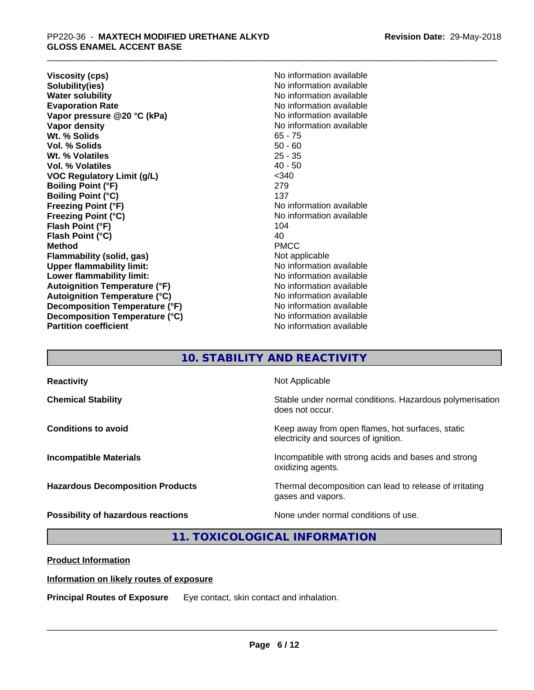**Viscosity (cps)** <br> **Viscosity (cps)** <br> **Solubility(ies)** <br> **Solubility(ies)** <br> **No** information available **Solubility(ies)**<br> **No information available**<br> **Water solubility**<br> **Water solubility Evaporation Rate No information available No information available Vapor pressure @20 °C (kPa)** No information available **Vapor density Vapor** density **Wt. % Solids** 65 - 75 **Vol. % Solids** 50 - 60 Wt. % Volatiles **Vol. % Volatiles** 40 - 50 **VOC Regulatory Limit (g/L)** <340 **Boiling Point (°F)** 279 **Boiling Point (°C)** 137<br> **Freezing Point (°F)** No i **Freezing Point (°C)** No information available **Flash Point (°F)** 104<br> **Flash Point (°C)** 104<br>
104 **Flash Point (°C) Method** PMCC **Flammability (solid, gas)** Not applicable **Upper flammability limit:** No information available **Lower flammability limit:**  $\qquad \qquad \qquad$  No information available **Autoignition Temperature (°F)** No information available **Autoignition Temperature (°C)** No information available **Decomposition Temperature (°F)** No information available **Decomposition Temperature (°C)**<br> **Partition coefficient**<br> **Partition coefficient**<br> **No** information available

**No information available No information available No information available** 

## **10. STABILITY AND REACTIVITY**

| <b>Reactivity</b>                       | Not Applicable                                                                           |
|-----------------------------------------|------------------------------------------------------------------------------------------|
| <b>Chemical Stability</b>               | Stable under normal conditions. Hazardous polymerisation<br>does not occur.              |
| <b>Conditions to avoid</b>              | Keep away from open flames, hot surfaces, static<br>electricity and sources of ignition. |
| <b>Incompatible Materials</b>           | Incompatible with strong acids and bases and strong<br>oxidizing agents.                 |
| <b>Hazardous Decomposition Products</b> | Thermal decomposition can lead to release of irritating<br>gases and vapors.             |
| Possibility of hazardous reactions      | None under normal conditions of use.                                                     |

## **11. TOXICOLOGICAL INFORMATION**

**Product Information**

#### **Information on likely routes of exposure**

**Principal Routes of Exposure** Eye contact, skin contact and inhalation.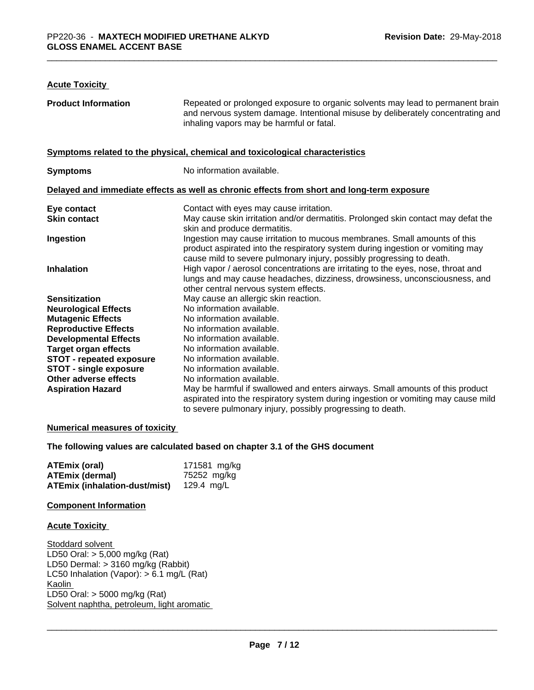## **Acute Toxicity**

| <b>Product Information</b>      | Repeated or prolonged exposure to organic solvents may lead to permanent brain<br>and nervous system damage. Intentional misuse by deliberately concentrating and<br>inhaling vapors may be harmful or fatal.                        |
|---------------------------------|--------------------------------------------------------------------------------------------------------------------------------------------------------------------------------------------------------------------------------------|
|                                 | Symptoms related to the physical, chemical and toxicological characteristics                                                                                                                                                         |
| <b>Symptoms</b>                 | No information available.                                                                                                                                                                                                            |
|                                 | Delayed and immediate effects as well as chronic effects from short and long-term exposure                                                                                                                                           |
| Eye contact                     | Contact with eyes may cause irritation.                                                                                                                                                                                              |
| <b>Skin contact</b>             | May cause skin irritation and/or dermatitis. Prolonged skin contact may defat the<br>skin and produce dermatitis.                                                                                                                    |
| Ingestion                       | Ingestion may cause irritation to mucous membranes. Small amounts of this<br>product aspirated into the respiratory system during ingestion or vomiting may<br>cause mild to severe pulmonary injury, possibly progressing to death. |
| <b>Inhalation</b>               | High vapor / aerosol concentrations are irritating to the eyes, nose, throat and<br>lungs and may cause headaches, dizziness, drowsiness, unconsciousness, and<br>other central nervous system effects.                              |
| <b>Sensitization</b>            | May cause an allergic skin reaction.                                                                                                                                                                                                 |
| <b>Neurological Effects</b>     | No information available.                                                                                                                                                                                                            |
| <b>Mutagenic Effects</b>        | No information available.                                                                                                                                                                                                            |
| <b>Reproductive Effects</b>     | No information available.                                                                                                                                                                                                            |
| <b>Developmental Effects</b>    | No information available.                                                                                                                                                                                                            |
| <b>Target organ effects</b>     | No information available.                                                                                                                                                                                                            |
| <b>STOT - repeated exposure</b> | No information available.                                                                                                                                                                                                            |
| STOT - single exposure          | No information available.                                                                                                                                                                                                            |
| Other adverse effects           | No information available.                                                                                                                                                                                                            |
| <b>Aspiration Hazard</b>        | May be harmful if swallowed and enters airways. Small amounts of this product<br>aspirated into the respiratory system during ingestion or vomiting may cause mild<br>to severe pulmonary injury, possibly progressing to death.     |

## **Numerical measures of toxicity**

**The following values are calculated based on chapter 3.1 of the GHS document**

| ATEmix (oral)                 | 171581 mg/kg |
|-------------------------------|--------------|
| <b>ATEmix (dermal)</b>        | 75252 mg/kg  |
| ATEmix (inhalation-dust/mist) | 129.4 ma/L   |

## **Component Information**

#### **Acute Toxicity**

Stoddard solvent LD50 Oral: > 5,000 mg/kg (Rat) LD50 Dermal: > 3160 mg/kg (Rabbit) LC50 Inhalation (Vapor): > 6.1 mg/L (Rat) **Kaolin** LD50 Oral: > 5000 mg/kg (Rat) Solvent naphtha, petroleum, light aromatic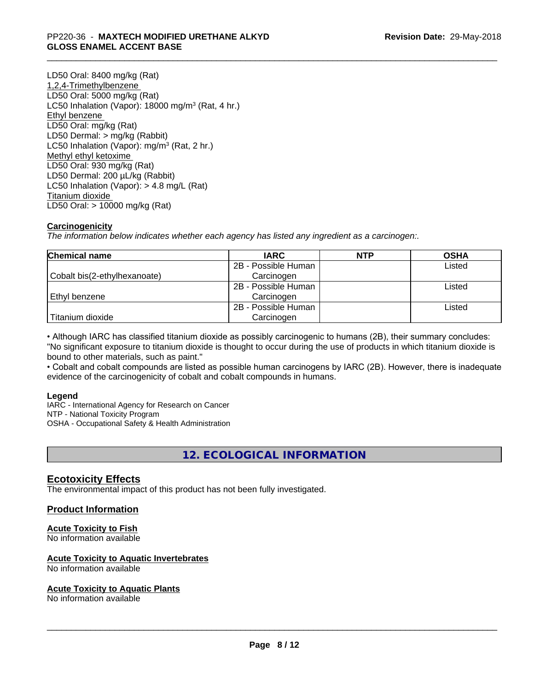## \_\_\_\_\_\_\_\_\_\_\_\_\_\_\_\_\_\_\_\_\_\_\_\_\_\_\_\_\_\_\_\_\_\_\_\_\_\_\_\_\_\_\_\_\_\_\_\_\_\_\_\_\_\_\_\_\_\_\_\_\_\_\_\_\_\_\_\_\_\_\_\_\_\_\_\_\_\_\_\_\_\_\_\_\_\_\_\_\_\_\_\_\_ PP220-36 - **MAXTECH MODIFIED URETHANE ALKYD GLOSS ENAMEL ACCENT BASE**

LD50 Oral: 8400 mg/kg (Rat) 1,2,4-Trimethylbenzene LD50 Oral: 5000 mg/kg (Rat) LC50 Inhalation (Vapor): 18000 mg/m<sup>3</sup> (Rat, 4 hr.) Ethyl benzene LD50 Oral: mg/kg (Rat) LD50 Dermal: > mg/kg (Rabbit) LC50 Inhalation (Vapor): mg/m<sup>3</sup> (Rat, 2 hr.) Methyl ethyl ketoxime LD50 Oral: 930 mg/kg (Rat) LD50 Dermal: 200 µL/kg (Rabbit) LC50 Inhalation (Vapor): > 4.8 mg/L (Rat) Titanium dioxide LD50 Oral: > 10000 mg/kg (Rat)

## **Carcinogenicity**

*The information below indicateswhether each agency has listed any ingredient as a carcinogen:.*

| <b>Chemical name</b>         | <b>IARC</b>         | <b>NTP</b> | <b>OSHA</b> |
|------------------------------|---------------------|------------|-------------|
|                              | 2B - Possible Human |            | Listed      |
| Cobalt bis(2-ethylhexanoate) | Carcinogen          |            |             |
|                              | 2B - Possible Human |            | Listed      |
| Ethyl benzene                | Carcinogen          |            |             |
|                              | 2B - Possible Human |            | Listed      |
| Titanium dioxide             | Carcinogen          |            |             |

• Although IARC has classified titanium dioxide as possibly carcinogenic to humans (2B), their summary concludes: "No significant exposure to titanium dioxide is thought to occur during the use of products in which titanium dioxide is bound to other materials, such as paint."

• Cobalt and cobalt compounds are listed as possible human carcinogens by IARC (2B). However, there is inadequate evidence of the carcinogenicity of cobalt and cobalt compounds in humans.

#### **Legend**

IARC - International Agency for Research on Cancer NTP - National Toxicity Program OSHA - Occupational Safety & Health Administration

## **12. ECOLOGICAL INFORMATION**

## **Ecotoxicity Effects**

The environmental impact of this product has not been fully investigated.

#### **Product Information**

#### **Acute Toxicity to Fish**

No information available

#### **Acute Toxicity to Aquatic Invertebrates**

No information available

#### **Acute Toxicity to Aquatic Plants**

No information available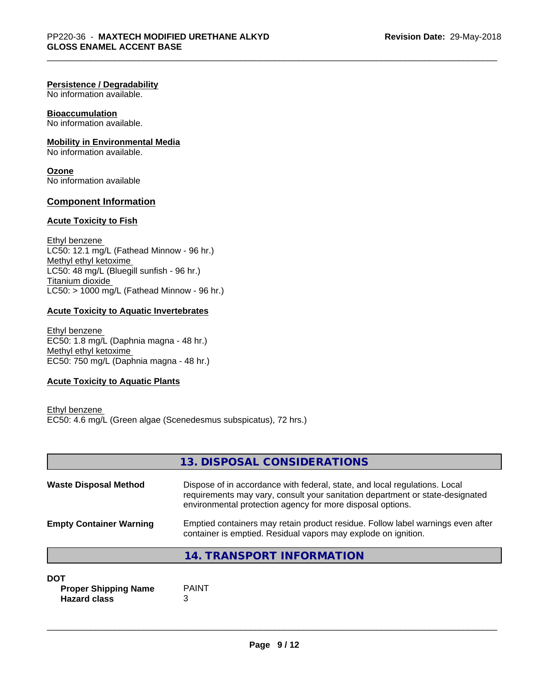#### **Persistence / Degradability**

No information available.

## **Bioaccumulation**

No information available.

## **Mobility in Environmental Media**

No information available.

**Ozone** No information available

## **Component Information**

#### **Acute Toxicity to Fish**

Ethyl benzene LC50: 12.1 mg/L (Fathead Minnow - 96 hr.) Methyl ethyl ketoxime LC50: 48 mg/L (Bluegill sunfish - 96 hr.) Titanium dioxide  $LC50:$  > 1000 mg/L (Fathead Minnow - 96 hr.)

## **Acute Toxicity to Aquatic Invertebrates**

Ethyl benzene EC50: 1.8 mg/L (Daphnia magna - 48 hr.) Methyl ethyl ketoxime EC50: 750 mg/L (Daphnia magna - 48 hr.)

## **Acute Toxicity to Aquatic Plants**

```
Ethyl benzene 
EC50: 4.6 mg/L (Green algae (Scenedesmus subspicatus), 72 hrs.)
```

|                                | 13. DISPOSAL CONSIDERATIONS                                                                                                                                                                                               |
|--------------------------------|---------------------------------------------------------------------------------------------------------------------------------------------------------------------------------------------------------------------------|
| <b>Waste Disposal Method</b>   | Dispose of in accordance with federal, state, and local regulations. Local<br>requirements may vary, consult your sanitation department or state-designated<br>environmental protection agency for more disposal options. |
| <b>Empty Container Warning</b> | Emptied containers may retain product residue. Follow label warnings even after<br>container is emptied. Residual vapors may explode on ignition.                                                                         |
|                                | 14. TRANSPORT INFORMATION                                                                                                                                                                                                 |

#### **DOT**

**Proper Shipping Name** PAINT **Hazard class** 3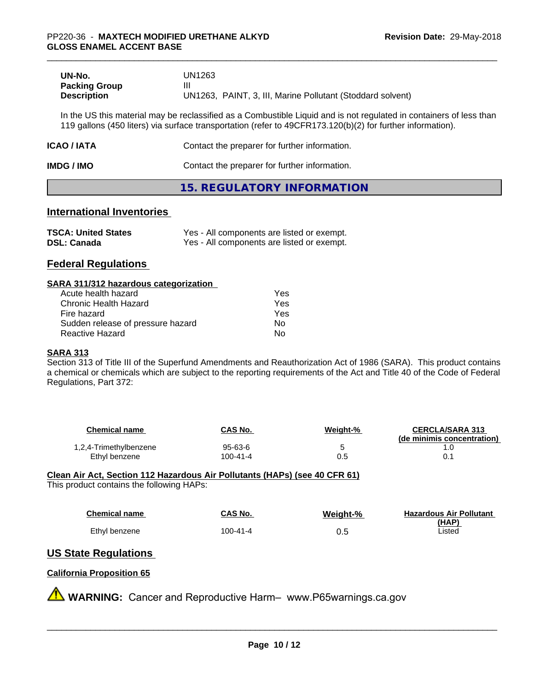| UN-No.               | UN1263                                                     |
|----------------------|------------------------------------------------------------|
| <b>Packing Group</b> | Ш                                                          |
| <b>Description</b>   | UN1263, PAINT, 3, III, Marine Pollutant (Stoddard solvent) |

In the US this material may be reclassified as a Combustible Liquid and is not regulated in containers of less than 119 gallons (450 liters) via surface transportation (refer to 49CFR173.120(b)(2) for further information).

| <b>ICAO/IATA</b> | Contact the preparer for further information. |
|------------------|-----------------------------------------------|
|                  |                                               |

**IMDG / IMO** Contact the preparer for further information.

## **15. REGULATORY INFORMATION**

## **International Inventories**

| <b>TSCA: United States</b> | Yes - All components are listed or exempt. |
|----------------------------|--------------------------------------------|
| <b>DSL: Canada</b>         | Yes - All components are listed or exempt. |

## **Federal Regulations**

#### **SARA 311/312 hazardous categorization**

| Acute health hazard               | Yes |  |
|-----------------------------------|-----|--|
| Chronic Health Hazard             | Yes |  |
| Fire hazard                       | Yes |  |
| Sudden release of pressure hazard | Nο  |  |
| Reactive Hazard                   | N٥  |  |

#### **SARA 313**

Section 313 of Title III of the Superfund Amendments and Reauthorization Act of 1986 (SARA). This product contains a chemical or chemicals which are subject to the reporting requirements of the Act and Title 40 of the Code of Federal Regulations, Part 372:

| Chemical name          | <b>CAS No.</b> | Weight-% | <b>CERCLA/SARA 313</b><br>(de minimis concentration) |
|------------------------|----------------|----------|------------------------------------------------------|
| 1,2,4-Trimethylbenzene | 95-63-6        | ∼        |                                                      |
| Ethyl benzene          | 100-41-4       | 0.5      |                                                      |

#### **Clean Air Act,Section 112 Hazardous Air Pollutants (HAPs) (see 40 CFR 61)** This product contains the following HAPs:

| Chemical name | <b>CAS No.</b> | Weight-% | <b>Hazardous Air Pollutant</b> |
|---------------|----------------|----------|--------------------------------|
| Ethyl benzene | 100-41-4       | 0.5      | <u>(HAP)</u><br>Listed         |

# **US State Regulations**

## **California Proposition 65**

**A** WARNING: Cancer and Reproductive Harm– www.P65warnings.ca.gov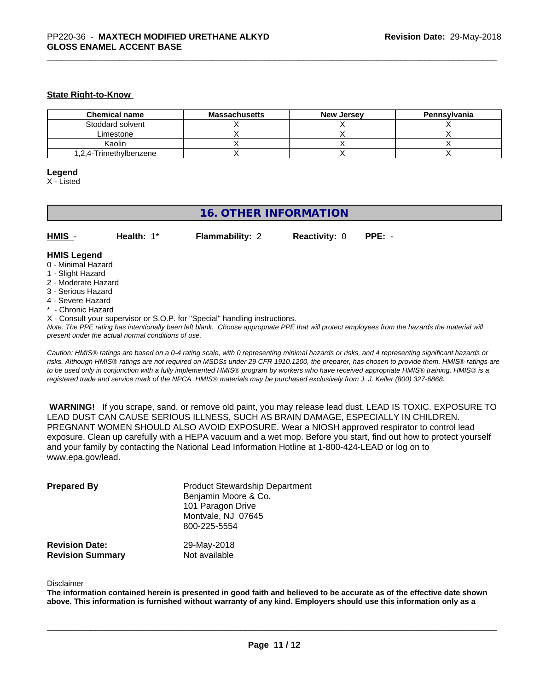#### **State Right-to-Know**

| <b>Chemical name</b>   | <b>Massachusetts</b> | <b>New Jersey</b> | Pennsylvania |
|------------------------|----------------------|-------------------|--------------|
| Stoddard solvent       |                      |                   |              |
| Limestone              |                      |                   |              |
| Kaolin                 |                      |                   |              |
| 1,2,4-Trimethylbenzene |                      |                   |              |

#### **Legend**

X - Listed

## **16. OTHER INFORMATION**

| HMIS | Health: 1* | <b>Flammability: 2</b> | <b>Reactivity: 0 PPE: -</b> |  |
|------|------------|------------------------|-----------------------------|--|
|      |            |                        |                             |  |

## **HMIS Legend**

- 0 Minimal Hazard
- 1 Slight Hazard
- 2 Moderate Hazard
- 3 Serious Hazard
- 4 Severe Hazard
- \* Chronic Hazard
- X Consult your supervisor or S.O.P. for "Special" handling instructions.

*Note: The PPE rating has intentionally been left blank. Choose appropriate PPE that will protect employees from the hazards the material will present under the actual normal conditions of use.*

*Caution: HMISÒ ratings are based on a 0-4 rating scale, with 0 representing minimal hazards or risks, and 4 representing significant hazards or risks. Although HMISÒ ratings are not required on MSDSs under 29 CFR 1910.1200, the preparer, has chosen to provide them. HMISÒ ratings are to be used only in conjunction with a fully implemented HMISÒ program by workers who have received appropriate HMISÒ training. HMISÒ is a registered trade and service mark of the NPCA. HMISÒ materials may be purchased exclusively from J. J. Keller (800) 327-6868.*

 **WARNING!** If you scrape, sand, or remove old paint, you may release lead dust. LEAD IS TOXIC. EXPOSURE TO LEAD DUST CAN CAUSE SERIOUS ILLNESS, SUCH AS BRAIN DAMAGE, ESPECIALLY IN CHILDREN. PREGNANT WOMEN SHOULD ALSO AVOID EXPOSURE. Wear a NIOSH approved respirator to control lead exposure. Clean up carefully with a HEPA vacuum and a wet mop. Before you start, find out how to protect yourself and your family by contacting the National Lead Information Hotline at 1-800-424-LEAD or log on to www.epa.gov/lead.

| <b>Prepared By</b>      | <b>Product Stewardship Department</b><br>Benjamin Moore & Co.<br>101 Paragon Drive<br>Montvale, NJ 07645<br>800-225-5554 |
|-------------------------|--------------------------------------------------------------------------------------------------------------------------|
| <b>Revision Date:</b>   | 29-May-2018                                                                                                              |
| <b>Revision Summary</b> | Not available                                                                                                            |

#### Disclaimer

The information contained herein is presented in good faith and believed to be accurate as of the effective date shown above. This information is furnished without warranty of any kind. Employers should use this information only as a